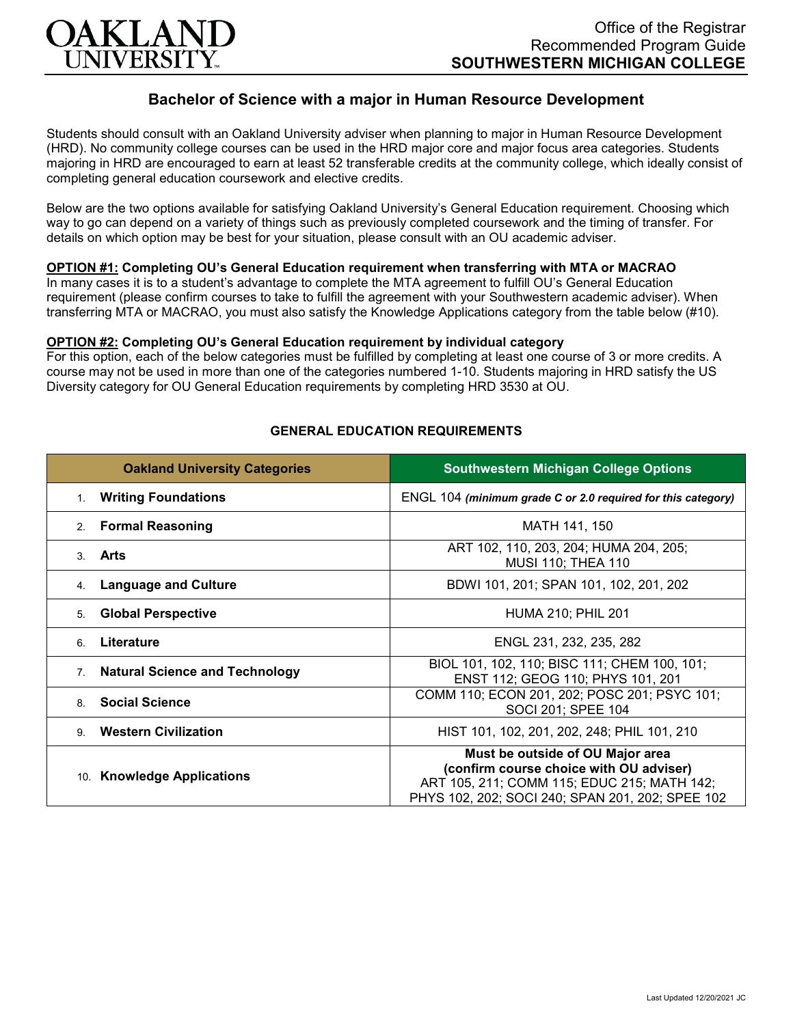

# **Bachelor of Science with a major in Human Resource Development**

Students should consult with an Oakland University adviser when planning to major in Human Resource Development (HRD). No community college courses can be used in the HRD major core and major focus area categories. Students majoring in HRD are encouraged to earn at least 52 transferable credits at the community college, which ideally consist of completing general education coursework and elective credits.

Below are the two options available for satisfying Oakland University's General Education requirement. Choosing which way to go can depend on a variety of things such as previously completed coursework and the timing of transfer. For details on which option may be best for your situation, please consult with an OU academic adviser.

### **OPTION #1: Completing OU's General Education requirement when transferring with MTA or MACRAO**

In many cases it is to a student's advantage to complete the MTA agreement to fulfill OU's General Education requirement (please confirm courses to take to fulfill the agreement with your Southwestern academic adviser). When transferring MTA or MACRAO, you must also satisfy the Knowledge Applications category from the table below (#10).

#### **OPTION #2: Completing OU's General Education requirement by individual category**

For this option, each of the below categories must be fulfilled by completing at least one course of 3 or more credits. A course may not be used in more than one of the categories numbered 1-10. Students majoring in HRD satisfy the US Diversity category for OU General Education requirements by completing HRD 3530 at OU.

| <b>Oakland University Categories</b>                    | <b>Southwestern Michigan College Options</b>                                                                                                                                   |
|---------------------------------------------------------|--------------------------------------------------------------------------------------------------------------------------------------------------------------------------------|
| <b>Writing Foundations</b><br>1.                        | ENGL 104 (minimum grade C or 2.0 required for this category)                                                                                                                   |
| <b>Formal Reasoning</b><br>2.                           | MATH 141, 150                                                                                                                                                                  |
| Arts<br>3                                               | ART 102, 110, 203, 204; HUMA 204, 205;<br>MUSI 110; THEA 110                                                                                                                   |
| <b>Language and Culture</b><br>4.                       | BDWI 101, 201; SPAN 101, 102, 201, 202                                                                                                                                         |
| <b>Global Perspective</b><br>5.                         | <b>HUMA 210; PHIL 201</b>                                                                                                                                                      |
| Literature<br>6                                         | ENGL 231, 232, 235, 282                                                                                                                                                        |
| <b>Natural Science and Technology</b><br>7 <sub>1</sub> | BIOL 101, 102, 110; BISC 111; CHEM 100, 101;<br>ENST 112; GEOG 110; PHYS 101, 201                                                                                              |
| <b>Social Science</b><br>8                              | COMM 110; ECON 201, 202; POSC 201; PSYC 101;<br>SOCI 201; SPEE 104                                                                                                             |
| <b>Western Civilization</b><br>9                        | HIST 101, 102, 201, 202, 248; PHIL 101, 210                                                                                                                                    |
| 10. Knowledge Applications                              | Must be outside of OU Major area<br>(confirm course choice with OU adviser)<br>ART 105, 211; COMM 115; EDUC 215; MATH 142;<br>PHYS 102, 202; SOCI 240; SPAN 201, 202; SPEE 102 |

#### **GENERAL EDUCATION REQUIREMENTS**